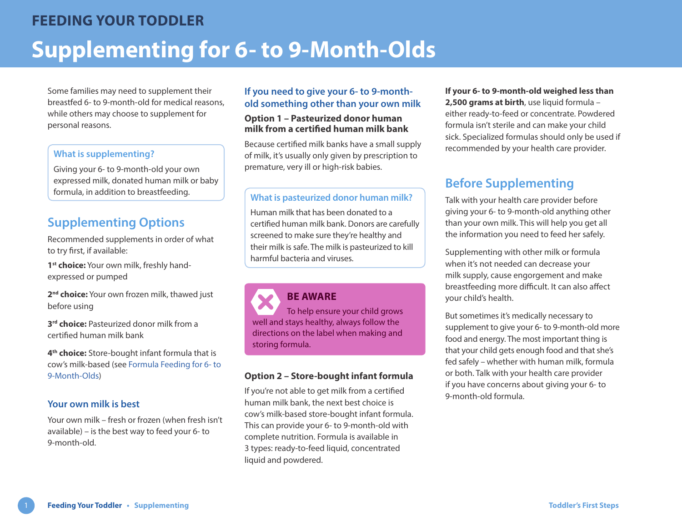Some families may need to supplement their breastfed 6- to 9-month-old for medical reasons, while others may choose to supplement for personal reasons.

#### **What is supplementing?**

Giving your 6- to 9-month-old your own expressed milk, donated human milk or baby formula, in addition to breastfeeding.<br>
What is pasteurized donor human milk?

# **Supplementing Options**

Recommended supplements in order of what to try first, if available:

1<sup>st</sup> choice: Your own milk, freshly handexpressed or pumped

2<sup>nd</sup> choice: Your own frozen milk, thawed just before using

**3<sup>rd</sup> choice:** Pasteurized donor milk from a certified human milk bank

**4th choice:** Store-bought infant formula that is cow's milk-based (see [Formula Feeding for 6- to](https://www.healthlinkbc.ca/sites/default/files/documents/TFS_formula-6-9-month.pdf)  [9-Month-Olds](https://www.healthlinkbc.ca/sites/default/files/documents/TFS_formula-6-9-month.pdf))

## **Your own milk is best**

Your own milk – fresh or frozen (when fresh isn't available) – is the best way to feed your 6- to 9-month-old.

## **If you need to give your 6- to 9-monthold something other than your own milk**

#### **Option 1 – Pasteurized donor human milk from a certified human milk bank**

Because certified milk banks have a small supply of milk, it's usually only given by prescription to premature, very ill or high-risk babies.

Human milk that has been donated to a certified human milk bank. Donors are carefully screened to make sure they're healthy and their milk is safe. The milk is pasteurized to kill harmful bacteria and viruses.

# **BE AWARE**

To help ensure your child grows well and stays healthy, always follow the directions on the label when making and storing formula.

### **Option 2 – Store-bought infant formula**

If you're not able to get milk from a certified human milk bank, the next best choice is cow's milk-based store-bought infant formula. This can provide your 6- to 9-month-old with complete nutrition. Formula is available in 3 types: ready-to-feed liquid, concentrated liquid and powdered.

**If your 6- to 9-month-old weighed less than 2,500 grams at birth**, use liquid formula – either ready-to-feed or concentrate. Powdered formula isn't sterile and can make your child sick. Specialized formulas should only be used if recommended by your health care provider.

# **Before Supplementing**

Talk with your health care provider before giving your 6- to 9-month-old anything other than your own milk. This will help you get all the information you need to feed her safely.

Supplementing with other milk or formula when it's not needed can decrease your milk supply, cause engorgement and make breastfeeding more difficult. It can also affect your child's health.

But sometimes it's medically necessary to supplement to give your 6- to 9-month-old more food and energy. The most important thing is that your child gets enough food and that she's fed safely – whether with human milk, formula or both. Talk with your health care provider if you have concerns about giving your 6- to 9-month-old formula.